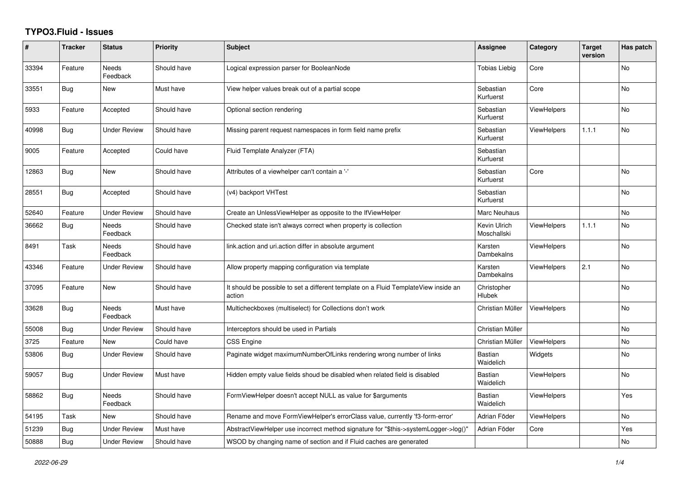## **TYPO3.Fluid - Issues**

| #     | <b>Tracker</b> | <b>Status</b>            | Priority    | <b>Subject</b>                                                                                | Assignee                    | Category           | <b>Target</b><br>version | Has patch |
|-------|----------------|--------------------------|-------------|-----------------------------------------------------------------------------------------------|-----------------------------|--------------------|--------------------------|-----------|
| 33394 | Feature        | Needs<br>Feedback        | Should have | Logical expression parser for BooleanNode                                                     | Tobias Liebig               | Core               |                          | No        |
| 33551 | <b>Bug</b>     | New                      | Must have   | View helper values break out of a partial scope                                               | Sebastian<br>Kurfuerst      | Core               |                          | No        |
| 5933  | Feature        | Accepted                 | Should have | Optional section rendering                                                                    | Sebastian<br>Kurfuerst      | <b>ViewHelpers</b> |                          | No        |
| 40998 | <b>Bug</b>     | <b>Under Review</b>      | Should have | Missing parent request namespaces in form field name prefix                                   | Sebastian<br>Kurfuerst      | <b>ViewHelpers</b> | 1.1.1                    | No        |
| 9005  | Feature        | Accepted                 | Could have  | Fluid Template Analyzer (FTA)                                                                 | Sebastian<br>Kurfuerst      |                    |                          |           |
| 12863 | <b>Bug</b>     | New                      | Should have | Attributes of a viewhelper can't contain a '-'                                                | Sebastian<br>Kurfuerst      | Core               |                          | <b>No</b> |
| 28551 | <b>Bug</b>     | Accepted                 | Should have | (v4) backport VHTest                                                                          | Sebastian<br>Kurfuerst      |                    |                          | No        |
| 52640 | Feature        | <b>Under Review</b>      | Should have | Create an UnlessViewHelper as opposite to the IfViewHelper                                    | Marc Neuhaus                |                    |                          | <b>No</b> |
| 36662 | <b>Bug</b>     | <b>Needs</b><br>Feedback | Should have | Checked state isn't always correct when property is collection                                | Kevin Ulrich<br>Moschallski | <b>ViewHelpers</b> | 1.1.1                    | <b>No</b> |
| 8491  | Task           | Needs<br>Feedback        | Should have | link.action and uri.action differ in absolute argument                                        | Karsten<br>Dambekalns       | <b>ViewHelpers</b> |                          | No        |
| 43346 | Feature        | <b>Under Review</b>      | Should have | Allow property mapping configuration via template                                             | Karsten<br>Dambekalns       | <b>ViewHelpers</b> | 2.1                      | No        |
| 37095 | Feature        | New                      | Should have | It should be possible to set a different template on a Fluid TemplateView inside an<br>action | Christopher<br>Hlubek       |                    |                          | No        |
| 33628 | <b>Bug</b>     | Needs<br>Feedback        | Must have   | Multicheckboxes (multiselect) for Collections don't work                                      | Christian Müller            | <b>ViewHelpers</b> |                          | <b>No</b> |
| 55008 | Bug            | <b>Under Review</b>      | Should have | Interceptors should be used in Partials                                                       | Christian Müller            |                    |                          | <b>No</b> |
| 3725  | Feature        | New                      | Could have  | <b>CSS Engine</b>                                                                             | Christian Müller            | ViewHelpers        |                          | No        |
| 53806 | <b>Bug</b>     | <b>Under Review</b>      | Should have | Paginate widget maximumNumberOfLinks rendering wrong number of links                          | Bastian<br>Waidelich        | Widgets            |                          | <b>No</b> |
| 59057 | <b>Bug</b>     | <b>Under Review</b>      | Must have   | Hidden empty value fields shoud be disabled when related field is disabled                    | Bastian<br>Waidelich        | <b>ViewHelpers</b> |                          | <b>No</b> |
| 58862 | <b>Bug</b>     | Needs<br>Feedback        | Should have | FormViewHelper doesn't accept NULL as value for \$arguments                                   | <b>Bastian</b><br>Waidelich | <b>ViewHelpers</b> |                          | Yes       |
| 54195 | Task           | New                      | Should have | Rename and move FormViewHelper's errorClass value, currently 'f3-form-error'                  | Adrian Föder                | <b>ViewHelpers</b> |                          | No        |
| 51239 | Bug            | <b>Under Review</b>      | Must have   | AbstractViewHelper use incorrect method signature for "\$this->systemLogger->log()"           | Adrian Föder                | Core               |                          | Yes       |
| 50888 | Bug            | <b>Under Review</b>      | Should have | WSOD by changing name of section and if Fluid caches are generated                            |                             |                    |                          | No        |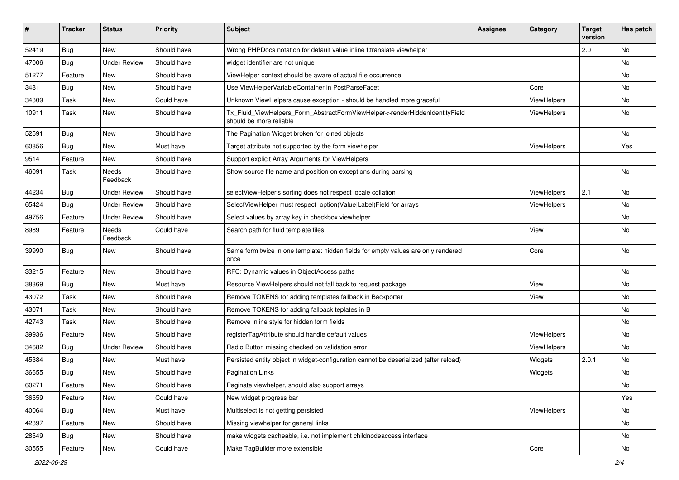| ∦     | <b>Tracker</b> | <b>Status</b>       | <b>Priority</b> | <b>Subject</b>                                                                                         | <b>Assignee</b> | Category    | <b>Target</b><br>version | Has patch |
|-------|----------------|---------------------|-----------------|--------------------------------------------------------------------------------------------------------|-----------------|-------------|--------------------------|-----------|
| 52419 | Bug            | New                 | Should have     | Wrong PHPDocs notation for default value inline f:translate viewhelper                                 |                 |             | 2.0                      | No        |
| 47006 | Bug            | <b>Under Review</b> | Should have     | widget identifier are not unique                                                                       |                 |             |                          | No        |
| 51277 | Feature        | New                 | Should have     | ViewHelper context should be aware of actual file occurrence                                           |                 |             |                          | No        |
| 3481  | <b>Bug</b>     | New                 | Should have     | Use ViewHelperVariableContainer in PostParseFacet                                                      |                 | Core        |                          | No        |
| 34309 | Task           | New                 | Could have      | Unknown ViewHelpers cause exception - should be handled more graceful                                  |                 | ViewHelpers |                          | No        |
| 10911 | Task           | New                 | Should have     | Tx_Fluid_ViewHelpers_Form_AbstractFormViewHelper->renderHiddenIdentityField<br>should be more reliable |                 | ViewHelpers |                          | No        |
| 52591 | <b>Bug</b>     | New                 | Should have     | The Pagination Widget broken for joined objects                                                        |                 |             |                          | No        |
| 60856 | <b>Bug</b>     | New                 | Must have       | Target attribute not supported by the form viewhelper                                                  |                 | ViewHelpers |                          | Yes       |
| 9514  | Feature        | New                 | Should have     | Support explicit Array Arguments for ViewHelpers                                                       |                 |             |                          |           |
| 46091 | Task           | Needs<br>Feedback   | Should have     | Show source file name and position on exceptions during parsing                                        |                 |             |                          | No        |
| 44234 | Bug            | <b>Under Review</b> | Should have     | selectViewHelper's sorting does not respect locale collation                                           |                 | ViewHelpers | 2.1                      | No        |
| 65424 | Bug            | <b>Under Review</b> | Should have     | SelectViewHelper must respect option(Value Label)Field for arrays                                      |                 | ViewHelpers |                          | No        |
| 49756 | Feature        | <b>Under Review</b> | Should have     | Select values by array key in checkbox viewhelper                                                      |                 |             |                          | No        |
| 8989  | Feature        | Needs<br>Feedback   | Could have      | Search path for fluid template files                                                                   |                 | View        |                          | No        |
| 39990 | Bug            | New                 | Should have     | Same form twice in one template: hidden fields for empty values are only rendered<br>once              |                 | Core        |                          | No        |
| 33215 | Feature        | New                 | Should have     | RFC: Dynamic values in ObjectAccess paths                                                              |                 |             |                          | No        |
| 38369 | <b>Bug</b>     | New                 | Must have       | Resource ViewHelpers should not fall back to request package                                           |                 | View        |                          | No        |
| 43072 | Task           | New                 | Should have     | Remove TOKENS for adding templates fallback in Backporter                                              |                 | View        |                          | No        |
| 43071 | Task           | New                 | Should have     | Remove TOKENS for adding fallback teplates in B                                                        |                 |             |                          | No        |
| 42743 | Task           | New                 | Should have     | Remove inline style for hidden form fields                                                             |                 |             |                          | No        |
| 39936 | Feature        | New                 | Should have     | registerTagAttribute should handle default values                                                      |                 | ViewHelpers |                          | No        |
| 34682 | <b>Bug</b>     | Under Review        | Should have     | Radio Button missing checked on validation error                                                       |                 | ViewHelpers |                          | No        |
| 45384 | Bug            | New                 | Must have       | Persisted entity object in widget-configuration cannot be deserialized (after reload)                  |                 | Widgets     | 2.0.1                    | No        |
| 36655 | Bug            | New                 | Should have     | Pagination Links                                                                                       |                 | Widgets     |                          | No        |
| 60271 | Feature        | New                 | Should have     | Paginate viewhelper, should also support arrays                                                        |                 |             |                          | No        |
| 36559 | Feature        | New                 | Could have      | New widget progress bar                                                                                |                 |             |                          | Yes       |
| 40064 | Bug            | New                 | Must have       | Multiselect is not getting persisted                                                                   |                 | ViewHelpers |                          | No        |
| 42397 | Feature        | New                 | Should have     | Missing viewhelper for general links                                                                   |                 |             |                          | No        |
| 28549 | <b>Bug</b>     | New                 | Should have     | make widgets cacheable, i.e. not implement childnodeaccess interface                                   |                 |             |                          | No        |
| 30555 | Feature        | New                 | Could have      | Make TagBuilder more extensible                                                                        |                 | Core        |                          | No        |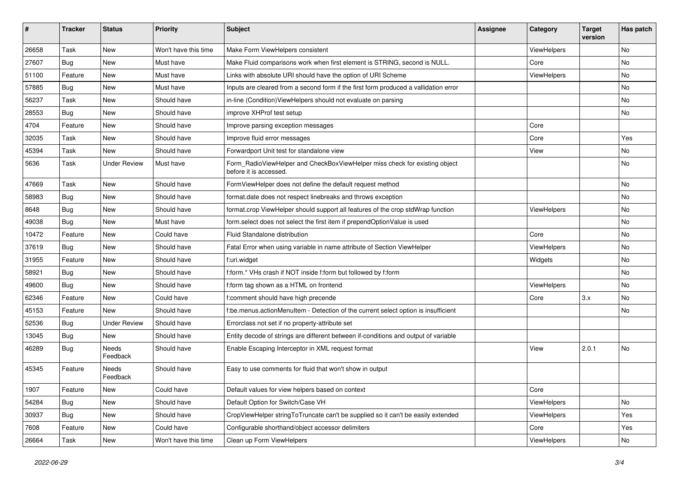| ∦     | <b>Tracker</b> | <b>Status</b>       | Priority             | Subject                                                                                              | <b>Assignee</b> | Category           | <b>Target</b><br>version | Has patch |
|-------|----------------|---------------------|----------------------|------------------------------------------------------------------------------------------------------|-----------------|--------------------|--------------------------|-----------|
| 26658 | Task           | New                 | Won't have this time | Make Form ViewHelpers consistent                                                                     |                 | ViewHelpers        |                          | <b>No</b> |
| 27607 | Bug            | New                 | Must have            | Make Fluid comparisons work when first element is STRING, second is NULL.                            |                 | Core               |                          | No        |
| 51100 | Feature        | New                 | Must have            | Links with absolute URI should have the option of URI Scheme                                         |                 | <b>ViewHelpers</b> |                          | No        |
| 57885 | Bug            | New                 | Must have            | Inputs are cleared from a second form if the first form produced a vallidation error                 |                 |                    |                          | <b>No</b> |
| 56237 | Task           | New                 | Should have          | in-line (Condition) View Helpers should not evaluate on parsing                                      |                 |                    |                          | No        |
| 28553 | Bug            | <b>New</b>          | Should have          | improve XHProf test setup                                                                            |                 |                    |                          | No        |
| 4704  | Feature        | New                 | Should have          | Improve parsing exception messages                                                                   |                 | Core               |                          |           |
| 32035 | Task           | New                 | Should have          | Improve fluid error messages                                                                         |                 | Core               |                          | Yes       |
| 45394 | Task           | New                 | Should have          | Forwardport Unit test for standalone view                                                            |                 | View               |                          | No        |
| 5636  | Task           | <b>Under Review</b> | Must have            | Form_RadioViewHelper and CheckBoxViewHelper miss check for existing object<br>before it is accessed. |                 |                    |                          | <b>No</b> |
| 47669 | Task           | <b>New</b>          | Should have          | FormViewHelper does not define the default request method                                            |                 |                    |                          | <b>No</b> |
| 58983 | Bug            | New                 | Should have          | format.date does not respect linebreaks and throws exception                                         |                 |                    |                          | No        |
| 8648  | Bug            | <b>New</b>          | Should have          | format.crop ViewHelper should support all features of the crop stdWrap function                      |                 | ViewHelpers        |                          | <b>No</b> |
| 49038 | Bug            | New                 | Must have            | form.select does not select the first item if prependOptionValue is used                             |                 |                    |                          | No        |
| 10472 | Feature        | New                 | Could have           | Fluid Standalone distribution                                                                        |                 | Core               |                          | No        |
| 37619 | Bug            | New                 | Should have          | Fatal Error when using variable in name attribute of Section ViewHelper                              |                 | ViewHelpers        |                          | <b>No</b> |
| 31955 | Feature        | New                 | Should have          | f:uri.widget                                                                                         |                 | Widgets            |                          | No        |
| 58921 | Bug            | New                 | Should have          | f:form.* VHs crash if NOT inside f:form but followed by f:form                                       |                 |                    |                          | <b>No</b> |
| 49600 | Bug            | New                 | Should have          | f:form tag shown as a HTML on frontend                                                               |                 | ViewHelpers        |                          | No        |
| 62346 | Feature        | New                 | Could have           | f:comment should have high precende                                                                  |                 | Core               | 3.x                      | <b>No</b> |
| 45153 | Feature        | <b>New</b>          | Should have          | f:be.menus.actionMenuItem - Detection of the current select option is insufficient                   |                 |                    |                          | No        |
| 52536 | Bug            | <b>Under Review</b> | Should have          | Errorclass not set if no property-attribute set                                                      |                 |                    |                          |           |
| 13045 | Bug            | New                 | Should have          | Entity decode of strings are different between if-conditions and output of variable                  |                 |                    |                          |           |
| 46289 | Bug            | Needs<br>Feedback   | Should have          | Enable Escaping Interceptor in XML request format                                                    |                 | View               | 2.0.1                    | <b>No</b> |
| 45345 | Feature        | Needs<br>Feedback   | Should have          | Easy to use comments for fluid that won't show in output                                             |                 |                    |                          |           |
| 1907  | Feature        | New                 | Could have           | Default values for view helpers based on context                                                     |                 | Core               |                          |           |
| 54284 | Bug            | New                 | Should have          | Default Option for Switch/Case VH                                                                    |                 | ViewHelpers        |                          | No        |
| 30937 | Bug            | New                 | Should have          | CropViewHelper stringToTruncate can't be supplied so it can't be easily extended                     |                 | ViewHelpers        |                          | Yes       |
| 7608  | Feature        | New                 | Could have           | Configurable shorthand/object accessor delimiters                                                    |                 | Core               |                          | Yes       |
| 26664 | Task           | New                 | Won't have this time | Clean up Form ViewHelpers                                                                            |                 | ViewHelpers        |                          | No        |